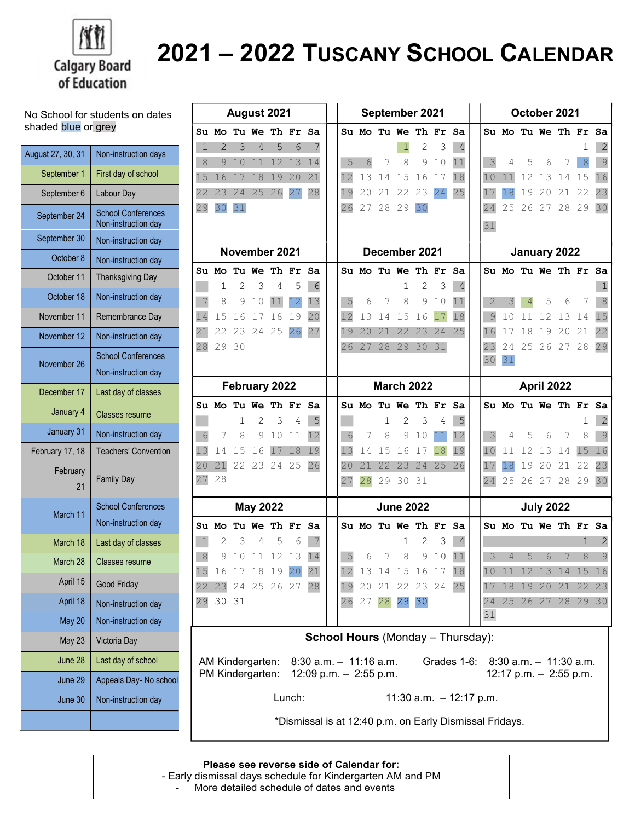

## 2021 – 2022 TUSCANY SCHOOL CALENDAR

No School for students on dates shaded blue or grey

| August 27, 30, 31 | Non-instruction days                             |
|-------------------|--------------------------------------------------|
| September 1       | First day of school                              |
| September 6       | Labour Day                                       |
| September 24      | <b>School Conferences</b><br>Non-instruction day |
| September 30      | Non-instruction day                              |
| October 8         | Non-instruction day                              |
| October 11        | <b>Thanksgiving Day</b>                          |
| October 18        | Non-instruction day                              |
| November 11       | Remembrance Day                                  |
| November 12       | Non-instruction day                              |
| November 26       | <b>School Conferences</b>                        |
|                   | Non-instruction day                              |
| December 17       | Last day of classes                              |
| January 4         | <b>Classes resume</b>                            |
| January 31        | Non-instruction day                              |
| February 17, 18   | <b>Teachers' Convention</b>                      |
| February<br>21    | <b>Family Day</b>                                |
| March 11          | <b>School Conferences</b><br>Non-instruction day |
| March 18          | Last day of classes                              |
| March 28          | Classes resume                                   |
| April 15          | Good Friday                                      |
| April 18          | Non-instruction day                              |
| May 20            | Non-instruction day                              |
| <b>May 23</b>     | Victoria Day                                     |
| June 28           | Last day of school                               |
| June 29           | Appeals Day- No school                           |
| June 30           | Non-instruction day                              |
|                   |                                                  |

| August 2021                              |                                                                                                                                                                       |    |       |               |                      | September 2021   |  |               |            | October 2021     |          |                                      |    |    |                |    |                |                      |       |    |              |
|------------------------------------------|-----------------------------------------------------------------------------------------------------------------------------------------------------------------------|----|-------|---------------|----------------------|------------------|--|---------------|------------|------------------|----------|--------------------------------------|----|----|----------------|----|----------------|----------------------|-------|----|--------------|
|                                          |                                                                                                                                                                       |    |       |               | Su Mo Tu We Th Fr Sa |                  |  |               |            |                  |          | Su Mo Tu We Th Fr Sa                 |    |    |                |    |                | Su Mo Tu We Th Fr Sa |       |    |              |
| 1                                        | 2                                                                                                                                                                     | 3  | 4     | 5             | 6                    |                  |  |               |            |                  | 1        | 2                                    | 3  | 4  |                |    |                |                      |       | ı  | 2            |
| 8                                        | 9                                                                                                                                                                     | 10 | 11    | 12            | 13                   | 14               |  | 5             | 6          | 7                | 8        | 9                                    | 10 | 11 | 3              | 4  | 5              | 6                    | 7     | 8  | 9            |
| 15                                       | 16                                                                                                                                                                    | 17 | 18    | 19            | 20                   | 21               |  | 12            | 13         | 14               | 15       | 16                                   | 17 | 18 | 10             | 11 | 12             | 13                   | 14    | 15 | 16           |
| 22                                       | 23                                                                                                                                                                    | 24 | 25    | 26            | 27                   | 28               |  | 19            | 20         | 21               | 22       | 23                                   | 24 | 25 | 17             | 18 | 19             | 20                   | 21    | 22 | 23           |
| 29                                       | 30                                                                                                                                                                    | 31 |       |               |                      |                  |  | 26            | 27         | 28               | 29       | 30                                   |    |    | 24             | 25 | 26             | 27                   | 28 29 |    | 30           |
|                                          |                                                                                                                                                                       |    |       |               |                      |                  |  |               |            |                  |          |                                      |    |    | 31             |    |                |                      |       |    |              |
|                                          |                                                                                                                                                                       |    |       |               |                      |                  |  |               |            |                  |          |                                      |    |    |                |    |                |                      |       |    |              |
|                                          |                                                                                                                                                                       |    |       | November 2021 |                      |                  |  | December 2021 |            |                  |          | January 2022<br>Su Mo Tu We Th Fr Sa |    |    |                |    |                |                      |       |    |              |
|                                          | Su Mo Tu We Th Fr                                                                                                                                                     |    |       |               |                      | Sa               |  |               |            |                  |          | Su Mo Tu We Th Fr                    |    | Sa |                |    |                |                      |       |    |              |
|                                          | 1                                                                                                                                                                     | 2  | 3     | 4             | 5                    | 6                |  |               |            |                  | 1        | 2                                    | 3  | 4  |                |    |                |                      |       |    | 1            |
| 7                                        | 8                                                                                                                                                                     | 9  | 10    | 11            | 12                   | 13               |  | 5             | 6          | 7                | 8        | 9                                    | 10 | 11 | $\overline{2}$ | 3  | $\overline{4}$ | 5                    | 6     | 7  | 8            |
| 14                                       | 15                                                                                                                                                                    | 16 | 17    | 18            | 19                   | 20               |  | 12            | 13         | 14               | 15       | 16                                   | 17 | 18 | 9              | 10 | 11             | 12                   | 13    | 14 | 15           |
| 21                                       | 22                                                                                                                                                                    | 23 | 24    | 25            | 26                   | 27               |  | 19            | 20         | 21               | 22       | 23                                   | 24 | 25 | 16             | 17 | 18             | 19                   | 20    | 21 | 22           |
| 28                                       | 29                                                                                                                                                                    | 30 |       |               |                      |                  |  | 26            | 27         | 28               | 29       | 30                                   | 31 |    | 23             | 24 | 25             | 26                   | 27 28 |    | 29           |
|                                          |                                                                                                                                                                       |    |       |               |                      |                  |  |               |            |                  |          |                                      |    |    | 30             | 31 |                |                      |       |    |              |
| February 2022                            |                                                                                                                                                                       |    |       |               | <b>March 2022</b>    |                  |  |               | April 2022 |                  |          |                                      |    |    |                |    |                |                      |       |    |              |
|                                          |                                                                                                                                                                       |    |       |               | Su Mo Tu We Th Fr Sa |                  |  |               |            |                  |          | Su Mo Tu We Th Fr Sa                 |    |    |                |    |                | Su Mo Tu We Th Fr Sa |       |    |              |
|                                          |                                                                                                                                                                       | 1  | 2     | 3             | 4                    | 5                |  |               |            | 1                | 2        | 3                                    | 4  | 5  |                |    |                |                      |       | ı  | 2            |
| 6                                        | 7                                                                                                                                                                     | 8  | 9     | 10            | 11                   | 12               |  | 6             | 7          | 8                | 9        | 10                                   | 11 | 12 | 3              | 4  | 5              | 6                    | 7     | 8  | 9            |
| 13                                       | 14                                                                                                                                                                    | 15 | 16    | 17            | 18                   | 19               |  | 13            | 14         | 15               | 16       | 17                                   | 18 | 19 | 10             | 11 | 12             | 13                   | 14    | 15 | 16           |
| 20                                       | 21                                                                                                                                                                    |    | 22 23 |               | 24 25                | 26               |  | 20            | 21         | 22               | 23       | 24                                   | 25 | 26 | 17             | 18 | 19             | 20                   | 21    | 22 | 23           |
| 27                                       | 28                                                                                                                                                                    |    |       |               |                      |                  |  | 27            | 28         | 29               | 30       | 31                                   |    |    | 24             | 25 |                | 26 27                | 28 29 |    | 30           |
| <b>May 2022</b>                          |                                                                                                                                                                       |    |       |               |                      | <b>June 2022</b> |  |               |            | <b>July 2022</b> |          |                                      |    |    |                |    |                |                      |       |    |              |
|                                          |                                                                                                                                                                       |    |       |               |                      |                  |  |               |            |                  |          |                                      |    |    |                |    |                |                      |       |    |              |
|                                          | Su Mo                                                                                                                                                                 |    |       | Tu We Th Fr   |                      | Sa               |  |               |            |                  |          | Su Mo Tu We Th Fr                    |    | Sa |                |    |                | Su Mo Tu We Th Fr Sa |       |    |              |
| $\mathbf{1}$                             | 2                                                                                                                                                                     | 3  | 4     | 5             | 6                    | 7                |  |               |            |                  | 1        | 2                                    | 3  | 4  |                |    |                |                      |       | 1  | $\mathbf{2}$ |
| $\,8\,$                                  | 9                                                                                                                                                                     | 10 | 11    | 12            | 13                   | 14               |  | 5             | 6          | 7                | 8        | 9                                    | 10 | 11 | 3              | 4  | 5              | 6                    | 7     | 8  | 9            |
| 15                                       |                                                                                                                                                                       |    |       |               | 16 17 18 19 20       | 21               |  | 12            |            |                  |          | 13 14 15 16 17 18                    |    |    |                |    |                | 10 11 12 13 14 15 16 |       |    |              |
|                                          |                                                                                                                                                                       |    |       |               | 22 23 24 25 26 27 28 |                  |  | 19            |            |                  |          | 20 21 22 23 24 25                    |    |    | 17             |    |                | 18 19 20 21 22 23    |       |    |              |
|                                          | 29 30 31                                                                                                                                                              |    |       |               |                      |                  |  |               | 26 27      |                  | 28 29 30 |                                      |    |    | 31             |    |                | 24 25 26 27 28 29 30 |       |    |              |
|                                          |                                                                                                                                                                       |    |       |               |                      |                  |  |               |            |                  |          |                                      |    |    |                |    |                |                      |       |    |              |
| <b>School Hours</b> (Monday - Thursday): |                                                                                                                                                                       |    |       |               |                      |                  |  |               |            |                  |          |                                      |    |    |                |    |                |                      |       |    |              |
|                                          | AM Kindergarten:<br>$8:30$ a.m. $-11:16$ a.m.<br>Grades 1-6:<br>$8:30$ a.m. $-11:30$ a.m.<br>PM Kindergarten:<br>12:09 p.m. $-$ 2:55 p.m.<br>12:17 p.m. $-$ 2:55 p.m. |    |       |               |                      |                  |  |               |            |                  |          |                                      |    |    |                |    |                |                      |       |    |              |
|                                          | Lunch:<br>11:30 a.m. $-12:17$ p.m.                                                                                                                                    |    |       |               |                      |                  |  |               |            |                  |          |                                      |    |    |                |    |                |                      |       |    |              |
|                                          | *Dismissal is at 12:40 p.m. on Early Dismissal Fridays.                                                                                                               |    |       |               |                      |                  |  |               |            |                  |          |                                      |    |    |                |    |                |                      |       |    |              |

## Please see reverse side of Calendar for:

- Early dismissal days schedule for Kindergarten AM and PM

- More detailed schedule of dates and events